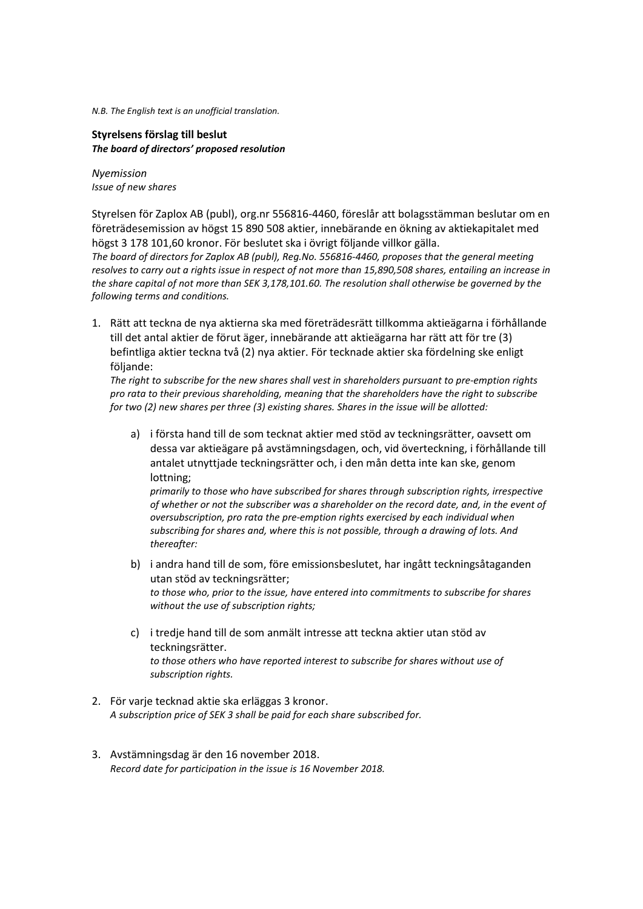*N.B. The English text is an unofficial translation.*

**Styrelsens förslag till beslut** *The board of directors' proposed resolution*

*Nyemission Issue of new shares*

Styrelsen för Zaplox AB (publ), org.nr 556816-4460, föreslår att bolagsstämman beslutar om en företrädesemission av högst 15 890 508 aktier, innebärande en ökning av aktiekapitalet med högst 3 178 101,60 kronor. För beslutet ska i övrigt följande villkor gälla. *The board of directors for Zaplox AB (publ), Reg.No. 556816-4460, proposes that the general meeting* 

*resolves to carry out a rights issue in respect of not more than 15,890,508 shares, entailing an increase in the share capital of not more than SEK 3,178,101.60. The resolution shall otherwise be governed by the following terms and conditions.*

1. Rätt att teckna de nya aktierna ska med företrädesrätt tillkomma aktieägarna i förhållande till det antal aktier de förut äger, innebärande att aktieägarna har rätt att för tre (3) befintliga aktier teckna två (2) nya aktier. För tecknade aktier ska fördelning ske enligt följande:

*The right to subscribe for the new shares shall vest in shareholders pursuant to pre-emption rights pro rata to their previous shareholding, meaning that the shareholders have the right to subscribe for two (2) new shares per three (3) existing shares. Shares in the issue will be allotted:*

a) i första hand till de som tecknat aktier med stöd av teckningsrätter, oavsett om dessa var aktieägare på avstämningsdagen, och, vid överteckning, i förhållande till antalet utnyttjade teckningsrätter och, i den mån detta inte kan ske, genom lottning;

*primarily to those who have subscribed for shares through subscription rights, irrespective of whether or not the subscriber was a shareholder on the record date, and, in the event of oversubscription, pro rata the pre-emption rights exercised by each individual when subscribing for shares and, where this is not possible, through a drawing of lots. And thereafter:*

- b) i andra hand till de som, före emissionsbeslutet, har ingått teckningsåtaganden utan stöd av teckningsrätter; *to those who, prior to the issue, have entered into commitments to subscribe for shares without the use of subscription rights;*
- c) i tredje hand till de som anmält intresse att teckna aktier utan stöd av teckningsrätter. *to those others who have reported interest to subscribe for shares without use of subscription rights.*
- 2. För varje tecknad aktie ska erläggas 3 kronor. *A subscription price of SEK 3 shall be paid for each share subscribed for.*
- 3. Avstämningsdag är den 16 november 2018. *Record date for participation in the issue is 16 November 2018.*